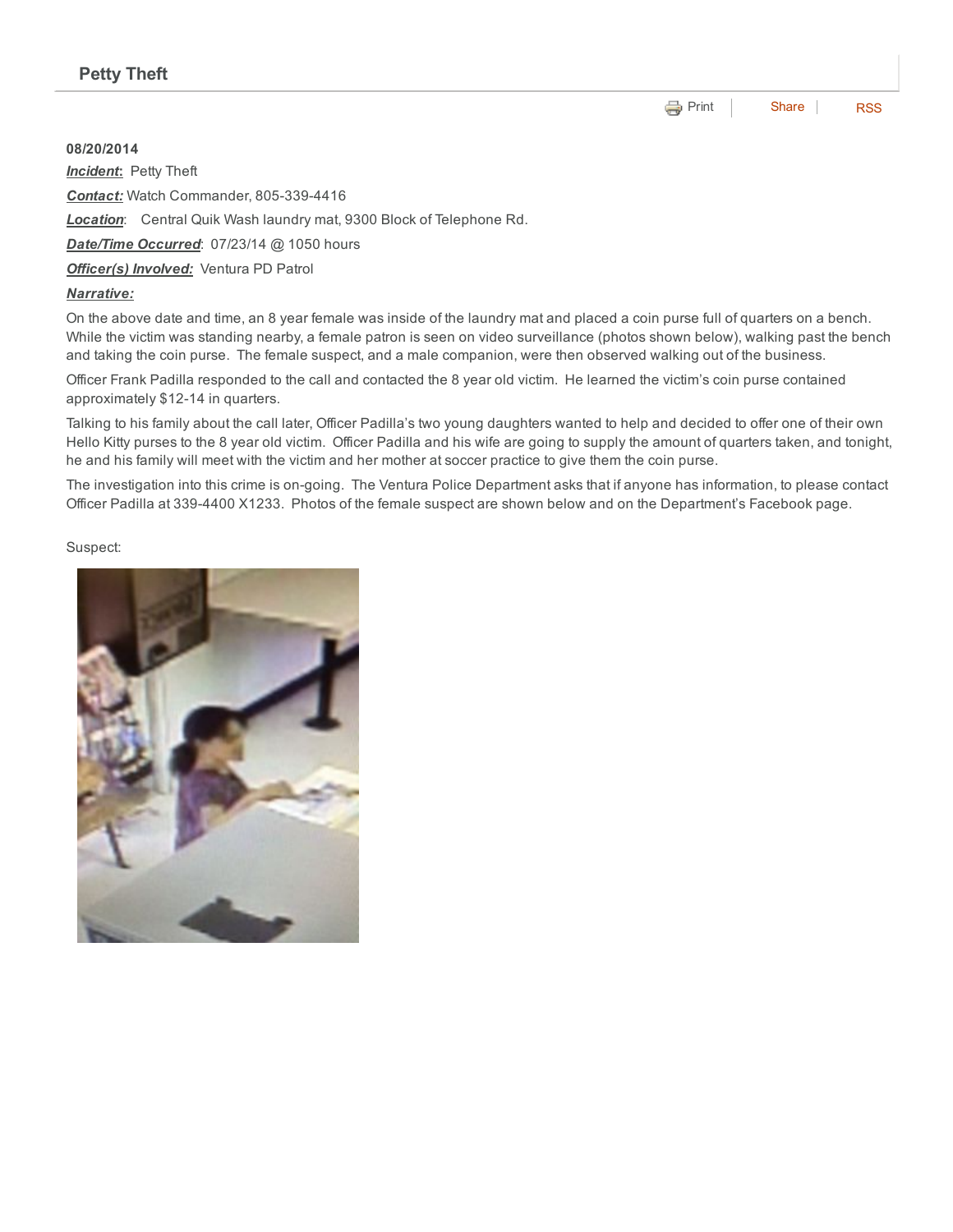**[Print](http://www.cityofventura.net/print/16023)** [Share](javascript:void(0)) [RSS](http://www.cityofventura.net/feed/press_release/rss.xml)

08/20/2014 *Incident*: Petty Theft

**Contact:** Watch Commander, 805-339-4416

*Location*: Central Quik Wash laundry mat, 9300 Block of Telephone Rd.

*Date/Time Occurred*: 07/23/14 @ 1050 hours

*Officer(s) Involved:* Ventura PD Patrol

## *Narrative:*

On the above date and time, an 8 year female was inside of the laundry mat and placed a coin purse full of quarters on a bench. While the victim was standing nearby, a female patron is seen on video surveillance (photos shown below), walking past the bench and taking the coin purse. The female suspect, and a male companion, were then observed walking out of the business.

Officer Frank Padilla responded to the call and contacted the 8 year old victim. He learned the victim's coin purse contained approximately \$12-14 in quarters.

Talking to his family about the call later, Officer Padilla's two young daughters wanted to help and decided to offer one of their own Hello Kitty purses to the 8 year old victim. Officer Padilla and his wife are going to supply the amount of quarters taken, and tonight, he and his family will meet with the victim and her mother at soccer practice to give them the coin purse.

The investigation into this crime is on-going. The Ventura Police Department asks that if anyone has information, to please contact Officer Padilla at 3394400 X1233. Photos of the female suspect are shown below and on the Department's Facebook page.

## Suspect: